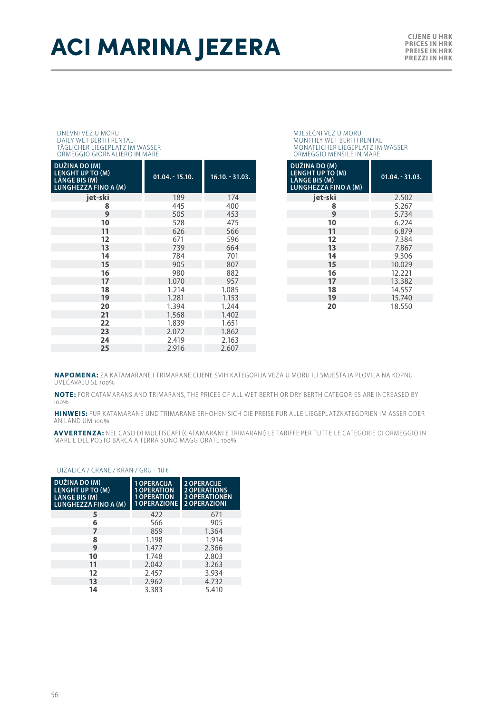# **ACI MARINA JEZERA**

#### DNEVNI VEZ U MORU DAILY WET BERTH RENTAL TÄGLICHER LIEGEPLATZ IM WASSER ORMEGGIO GIORNALIERO IN MARE

| DUŽINA DO (M)<br><b>LENGHT UP TO (M)</b><br>LÄNGE BIS (M)<br><b>LUNGHEZZA FINO A (M)</b> | $01.04. - 15.10.$ | $16.10 - 31.03.$ |
|------------------------------------------------------------------------------------------|-------------------|------------------|
| jet-ski                                                                                  | 189               | 174              |
| 8                                                                                        | 445               | 400              |
| 9                                                                                        | 505               | 453              |
| 10                                                                                       | 528               | 475              |
| 11                                                                                       | 626               | 566              |
| 12                                                                                       | 671               | 596              |
| 13                                                                                       | 739               | 664              |
| 14                                                                                       | 784               | 701              |
| 15                                                                                       | 905               | 807              |
| 16                                                                                       | 980               | 882              |
| 17                                                                                       | 1.070             | 957              |
| 18                                                                                       | 1.214             | 1.085            |
| 19                                                                                       | 1.281             | 1.153            |
| 20                                                                                       | 1.394             | 1.244            |
| 21                                                                                       | 1.568             | 1.402            |
| 22                                                                                       | 1.839             | 1.651            |
| 23                                                                                       | 2.072             | 1.862            |
| 24                                                                                       | 2.419             | 2.163            |
| 25                                                                                       | 2.916             | 2.607            |

### MJESEČNI VEZ U MORU MONTHLY WET BERTH RENTAL MONATLICHER LIEGEPLATZ IM WASSER ORMEGGIO MENSILE IN MARE

| DUŽINA DO (M)<br><b>LENGHT UP TO (M)</b><br><b>LÄNGE BIS (M)</b><br><b>LUNGHEZZA FINO A (M)</b> | $01.04 - 31.03$ . |
|-------------------------------------------------------------------------------------------------|-------------------|
| iet-ski                                                                                         | 2.502             |
| 8                                                                                               | 5.267             |
| 9                                                                                               | 5.734             |
| 10                                                                                              | 6.224             |
| 11                                                                                              | 6.879             |
| 12                                                                                              | 7.384             |
| 13                                                                                              | 7.867             |
| 14                                                                                              | 9.306             |
| 15                                                                                              | 10.029            |
| 16                                                                                              | 12.221            |
| 17                                                                                              | 13.382            |
| 18                                                                                              | 14.557            |
| 19                                                                                              | 15.740            |
| 20                                                                                              | 18.550            |

**NAPOMENA:** ZA KATAMARANE I TRIMARANE CIJENE SVIH KATEGORIJA VEZA U MORU ILI SMJEŠTAJA PLOVILA NA KOPNU UVEĆAVAJU SE 100%

**NOTE:** FOR CATAMARANS AND TRIMARANS, THE PRICES OF ALL WET BERTH OR DRY BERTH CATEGORIES ARE INCREASED BY 100%

**HINWEIS:** FUR KATAMARANE UND TRIMARANE ERHOHEN SICH DIE PREISE FUR ALLE LIEGEPLATZKATEGORIEN IM ASSER ODER AN LAND UM 100%

**AVVERTENZA:** NEL CASO DI MULTISCAFI (CATAMARANI E TRIMARANI) LE TARIFFE PER TUTTE LE CATEGORIE DI ORMEGGIO IN<br>MARE E DEL POSTO BARCA A TERRA SONO MAGGIORATE 100%

#### DIZALICA / CRANE / KRAN / GRU - 10 t

| DUŽINA DO (M)<br>LENGHT UP TO (M)<br><b>LÄNGE BIS (M)</b><br>LUNGHEZZA FINO A (M) | 1 OPERACIJA<br><b>OPERATION</b><br><b>1 OPERATION</b><br><b>1 OPERAZIONE</b> | <b>2 OPERACIJE</b><br><b>2 OPERATIONS</b><br><b>2 OPERATIONEN</b><br><b>2 OPERAZIONI</b> |
|-----------------------------------------------------------------------------------|------------------------------------------------------------------------------|------------------------------------------------------------------------------------------|
| 5                                                                                 | 422                                                                          | 671                                                                                      |
| 6                                                                                 | 566                                                                          | 905                                                                                      |
| 7                                                                                 | 859                                                                          | 1.364                                                                                    |
| 8                                                                                 | 1.198                                                                        | 1.914                                                                                    |
| 9                                                                                 | 1.477                                                                        | 2.366                                                                                    |
| 10                                                                                | 1.748                                                                        | 2.803                                                                                    |
| 11                                                                                | 2.042                                                                        | 3.263                                                                                    |
| 12                                                                                | 2.457                                                                        | 3.934                                                                                    |
| 13                                                                                | 2.962                                                                        | 4.732                                                                                    |
| 14                                                                                | 3.383                                                                        | 5.410                                                                                    |